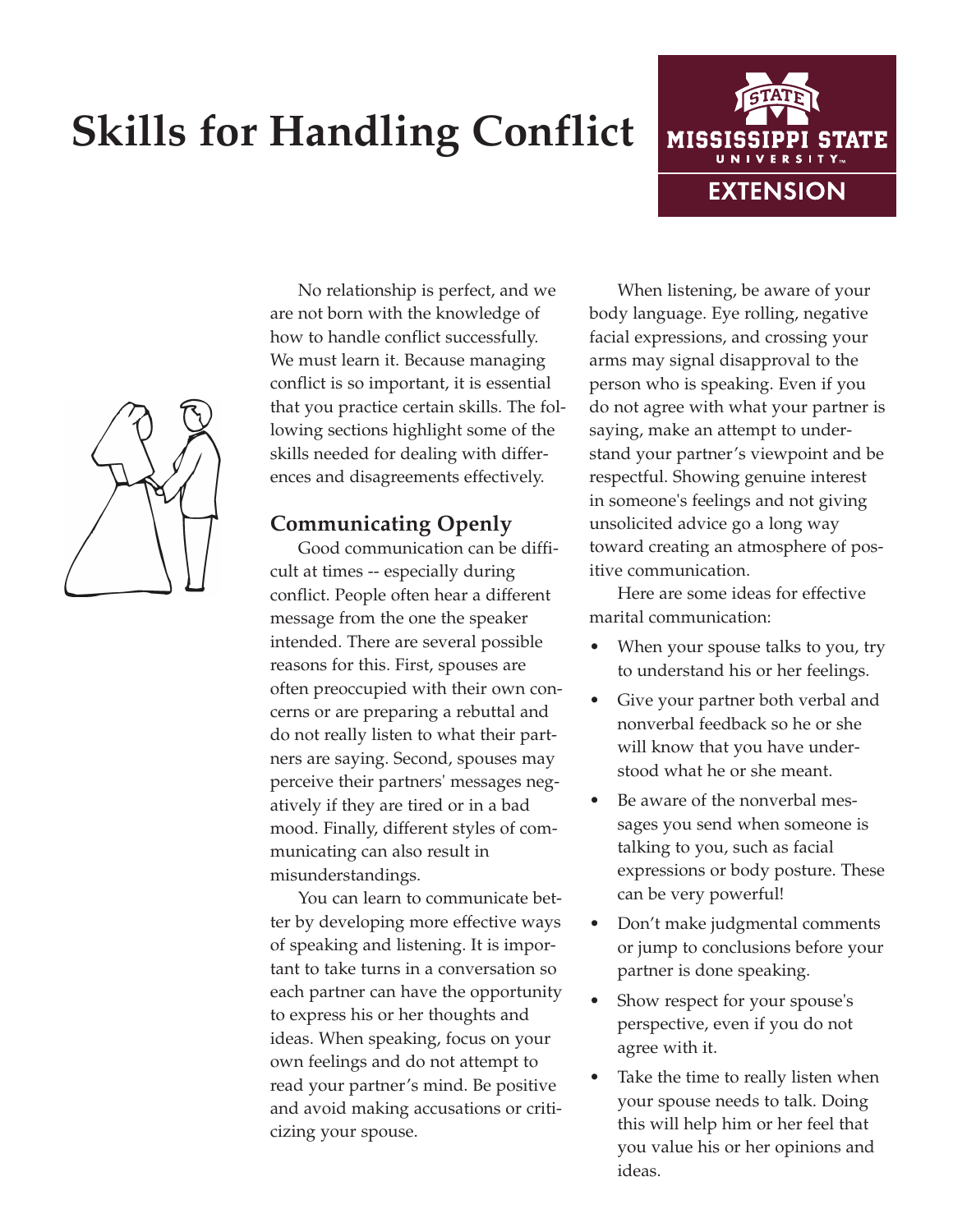# **Skills for Handling Conflict**





No relationship is perfect, and we are not born with the knowledge of how to handle conflict successfully. We must learn it. Because managing conflict is so important, it is essential that you practice certain skills. The following sections highlight some of the skills needed for dealing with differences and disagreements effectively.

## **Communicating Openly**

Good communication can be difficult at times -- especially during conflict. People often hear a different message from the one the speaker intended. There are several possible reasons for this. First, spouses are often preoccupied with their own concerns or are preparing a rebuttal and do not really listen to what their partners are saying. Second, spouses may perceive their partners' messages negatively if they are tired or in a bad mood. Finally, different styles of communicating can also result in misunderstandings.

You can learn to communicate better by developing more effective ways of speaking and listening. It is important to take turns in a conversation so each partner can have the opportunity to express his or her thoughts and ideas. When speaking, focus on your own feelings and do not attempt to read your partner's mind. Be positive and avoid making accusations or criticizing your spouse.

When listening, be aware of your body language. Eye rolling, negative facial expressions, and crossing your arms may signal disapproval to the person who is speaking. Even if you do not agree with what your partner is saying, make an attempt to understand your partner's viewpoint and be respectful. Showing genuine interest in someone's feelings and not giving unsolicited advice go a long way toward creating an atmosphere of positive communication.

Here are some ideas for effective marital communication:

- When your spouse talks to you, try to understand his or her feelings.
- Give your partner both verbal and nonverbal feedback so he or she will know that you have understood what he or she meant.
- Be aware of the nonverbal messages you send when someone is talking to you, such as facial expressions or body posture. These can be very powerful!
- Don't make judgmental comments or jump to conclusions before your partner is done speaking.
- Show respect for your spouse's perspective, even if you do not agree with it.
- Take the time to really listen when your spouse needs to talk. Doing this will help him or her feel that you value his or her opinions and ideas.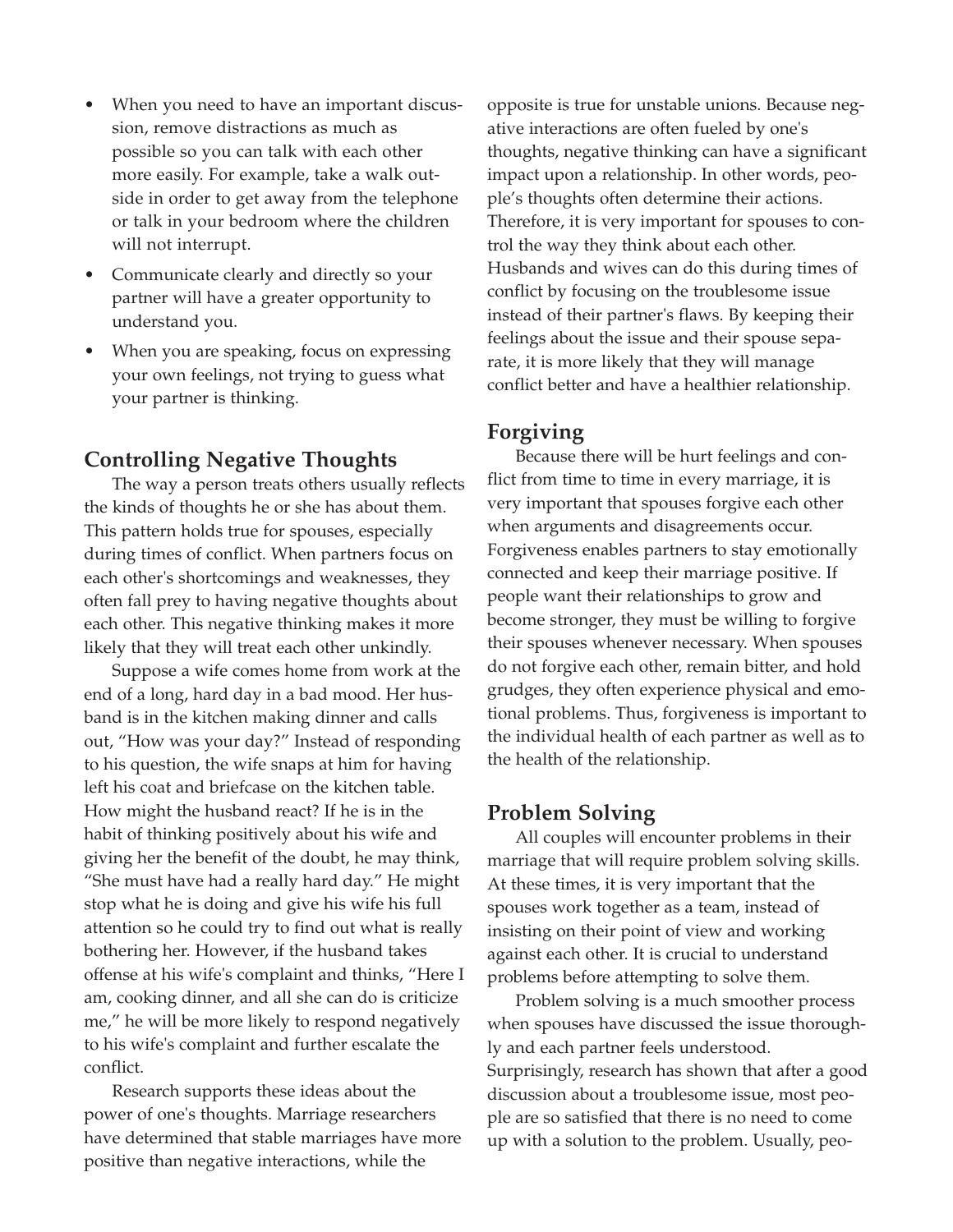- When you need to have an important discussion, remove distractions as much as possible so you can talk with each other more easily. For example, take a walk outside in order to get away from the telephone or talk in your bedroom where the children will not interrupt.
- Communicate clearly and directly so your partner will have a greater opportunity to understand you.
- When you are speaking, focus on expressing your own feelings, not trying to guess what your partner is thinking.

## **Controlling Negative Thoughts**

The way a person treats others usually reflects the kinds of thoughts he or she has about them. This pattern holds true for spouses, especially during times of conflict. When partners focus on each other's shortcomings and weaknesses, they often fall prey to having negative thoughts about each other. This negative thinking makes it more likely that they will treat each other unkindly.

Suppose a wife comes home from work at the end of a long, hard day in a bad mood. Her husband is in the kitchen making dinner and calls out, "How was your day?" Instead of responding to his question, the wife snaps at him for having left his coat and briefcase on the kitchen table. How might the husband react? If he is in the habit of thinking positively about his wife and giving her the benefit of the doubt, he may think, "She must have had a really hard day." He might stop what he is doing and give his wife his full attention so he could try to find out what is really bothering her. However, if the husband takes offense at his wife's complaint and thinks, "Here I am, cooking dinner, and all she can do is criticize me," he will be more likely to respond negatively to his wife's complaint and further escalate the conflict.

Research supports these ideas about the power of one's thoughts. Marriage researchers have determined that stable marriages have more positive than negative interactions, while the

opposite is true for unstable unions. Because negative interactions are often fueled by one's thoughts, negative thinking can have a significant impact upon a relationship. In other words, people's thoughts often determine their actions. Therefore, it is very important for spouses to control the way they think about each other. Husbands and wives can do this during times of conflict by focusing on the troublesome issue instead of their partner's flaws. By keeping their feelings about the issue and their spouse separate, it is more likely that they will manage conflict better and have a healthier relationship.

## **Forgiving**

Because there will be hurt feelings and conflict from time to time in every marriage, it is very important that spouses forgive each other when arguments and disagreements occur. Forgiveness enables partners to stay emotionally connected and keep their marriage positive. If people want their relationships to grow and become stronger, they must be willing to forgive their spouses whenever necessary. When spouses do not forgive each other, remain bitter, and hold grudges, they often experience physical and emotional problems. Thus, forgiveness is important to the individual health of each partner as well as to the health of the relationship.

## **Problem Solving**

All couples will encounter problems in their marriage that will require problem solving skills. At these times, it is very important that the spouses work together as a team, instead of insisting on their point of view and working against each other. It is crucial to understand problems before attempting to solve them.

Problem solving is a much smoother process when spouses have discussed the issue thoroughly and each partner feels understood. Surprisingly, research has shown that after a good discussion about a troublesome issue, most people are so satisfied that there is no need to come up with a solution to the problem. Usually, peo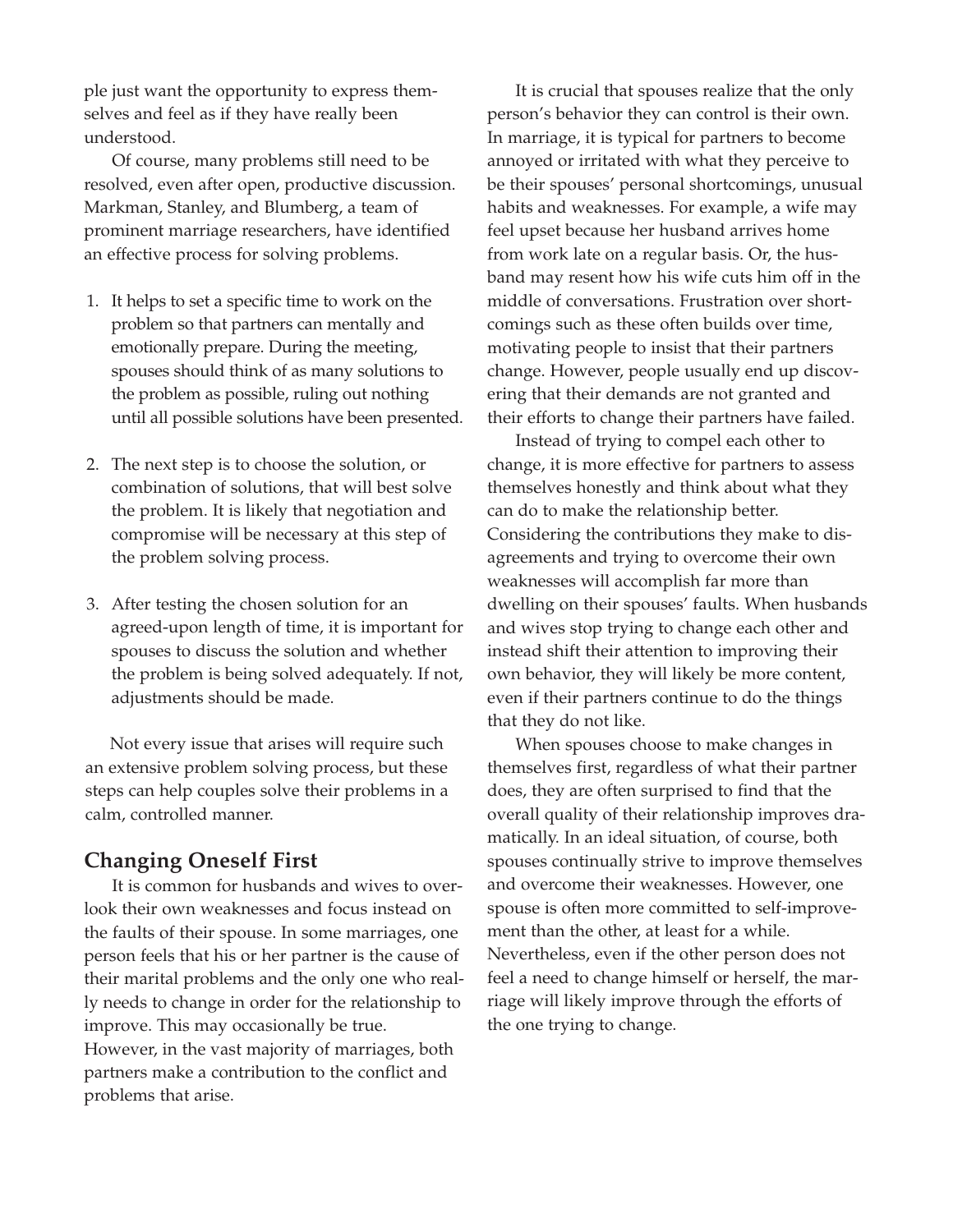ple just want the opportunity to express themselves and feel as if they have really been understood.

Of course, many problems still need to be resolved, even after open, productive discussion. Markman, Stanley, and Blumberg, a team of prominent marriage researchers, have identified an effective process for solving problems.

- 1. It helps to set a specific time to work on the problem so that partners can mentally and emotionally prepare. During the meeting, spouses should think of as many solutions to the problem as possible, ruling out nothing until all possible solutions have been presented.
- 2. The next step is to choose the solution, or combination of solutions, that will best solve the problem. It is likely that negotiation and compromise will be necessary at this step of the problem solving process.
- 3. After testing the chosen solution for an agreed-upon length of time, it is important for spouses to discuss the solution and whether the problem is being solved adequately. If not, adjustments should be made.

Not every issue that arises will require such an extensive problem solving process, but these steps can help couples solve their problems in a calm, controlled manner.

## **Changing Oneself First**

It is common for husbands and wives to overlook their own weaknesses and focus instead on the faults of their spouse. In some marriages, one person feels that his or her partner is the cause of their marital problems and the only one who really needs to change in order for the relationship to improve. This may occasionally be true. However, in the vast majority of marriages, both partners make a contribution to the conflict and problems that arise.

It is crucial that spouses realize that the only person's behavior they can control is their own. In marriage, it is typical for partners to become annoyed or irritated with what they perceive to be their spouses' personal shortcomings, unusual habits and weaknesses. For example, a wife may feel upset because her husband arrives home from work late on a regular basis. Or, the husband may resent how his wife cuts him off in the middle of conversations. Frustration over shortcomings such as these often builds over time, motivating people to insist that their partners change. However, people usually end up discovering that their demands are not granted and their efforts to change their partners have failed.

Instead of trying to compel each other to change, it is more effective for partners to assess themselves honestly and think about what they can do to make the relationship better. Considering the contributions they make to disagreements and trying to overcome their own weaknesses will accomplish far more than dwelling on their spouses' faults. When husbands and wives stop trying to change each other and instead shift their attention to improving their own behavior, they will likely be more content, even if their partners continue to do the things that they do not like.

When spouses choose to make changes in themselves first, regardless of what their partner does, they are often surprised to find that the overall quality of their relationship improves dramatically. In an ideal situation, of course, both spouses continually strive to improve themselves and overcome their weaknesses. However, one spouse is often more committed to self-improvement than the other, at least for a while. Nevertheless, even if the other person does not feel a need to change himself or herself, the marriage will likely improve through the efforts of the one trying to change.